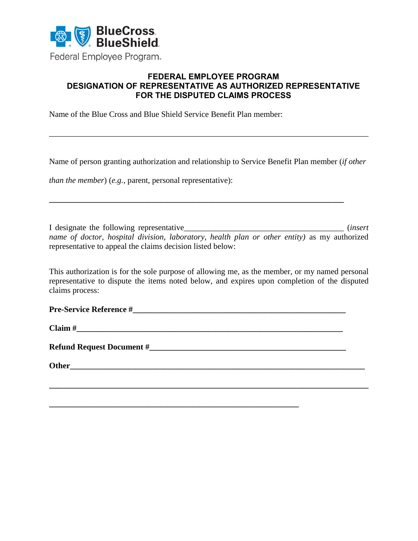

## **FEDERAL EMPLOYEE PROGRAM DESIGNATION OF REPRESENTATIVE AS AUTHORIZED REPRESENTATIVE FOR THE DISPUTED CLAIMS PROCESS**

Name of the Blue Cross and Blue Shield Service Benefit Plan member:

Name of person granting authorization and relationship to Service Benefit Plan member (*if other* 

**\_\_\_\_\_\_\_\_\_\_\_\_\_\_\_\_\_\_\_\_\_\_\_\_\_\_\_\_\_\_\_\_\_\_\_\_\_\_\_\_\_\_\_\_\_\_\_\_\_\_\_\_\_\_\_\_\_\_\_\_\_\_\_\_\_\_\_\_\_\_\_\_**

\_\_\_\_\_\_\_\_\_\_\_\_\_\_\_\_\_\_\_\_\_\_\_\_\_\_\_\_\_\_\_\_\_\_\_\_\_\_\_\_\_\_\_\_\_\_\_\_\_\_\_\_\_\_\_\_\_\_\_\_\_\_\_\_\_\_\_\_\_\_\_\_\_\_\_\_\_\_

*than the member*) (*e.g., parent, personal representative*):

I designate the following representative\_\_\_\_\_\_\_\_\_\_\_\_\_\_\_\_\_\_\_\_\_\_\_\_\_\_\_\_\_\_\_\_\_\_\_\_\_\_\_ (*insert name of doctor, hospital division, laboratory, health plan or other entity)* as my authorized representative to appeal the claims decision listed below:

This authorization is for the sole purpose of allowing me, as the member, or my named personal representative to dispute the items noted below, and expires upon completion of the disputed claims process:

Claim #

**Refund Request Document #** 

**Other** 

**\_\_\_\_\_\_\_\_\_\_\_\_\_\_\_\_\_\_\_\_\_\_\_\_\_\_\_\_\_\_\_\_\_\_\_\_\_\_\_\_\_\_\_\_\_\_\_\_\_\_\_\_\_\_\_\_\_\_\_\_\_**